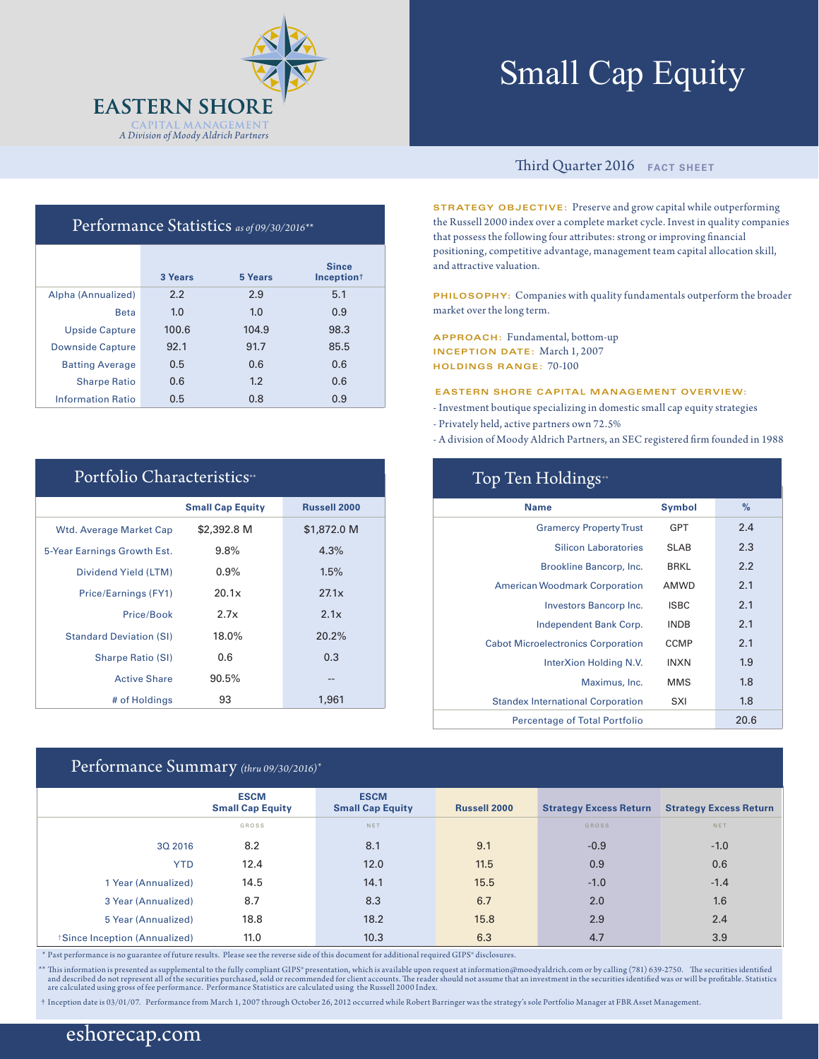

# Small Cap Equity

## Performance Statistics *as of 09/30/2016\*\**

|                          | 3 Years | 5 Years | <b>Since</b><br>Inception <sup>+</sup> |
|--------------------------|---------|---------|----------------------------------------|
| Alpha (Annualized)       | 2.2     | 2.9     | 5.1                                    |
| <b>Beta</b>              | 1.0     | 1.0     | 0.9                                    |
| <b>Upside Capture</b>    | 100.6   | 104.9   | 98.3                                   |
| <b>Downside Capture</b>  | 92.1    | 91.7    | 85.5                                   |
| <b>Batting Average</b>   | 0.5     | 0.6     | 0.6                                    |
| <b>Sharpe Ratio</b>      | 0.6     | 1.2     | 0.6                                    |
| <b>Information Ratio</b> | 0.5     | 0.8     | 0.9                                    |

| Portfolio Characteristics"     |                         |                     |  |  |  |  |  |
|--------------------------------|-------------------------|---------------------|--|--|--|--|--|
|                                | <b>Small Cap Equity</b> | <b>Russell 2000</b> |  |  |  |  |  |
| <b>Wtd. Average Market Cap</b> | \$2,392.8 M             | \$1,872.0 M         |  |  |  |  |  |
| 5-Year Earnings Growth Est.    | 9.8%                    | 4.3%                |  |  |  |  |  |
| Dividend Yield (LTM)           | $0.9\%$                 | 1.5%                |  |  |  |  |  |
| Price/Earnings (FY1)           | 20.1x                   | 27.1x               |  |  |  |  |  |
| Price/Book                     | 2.7x                    | 2.1x                |  |  |  |  |  |
| <b>Standard Deviation (SI)</b> | 18.0%                   | 20.2%               |  |  |  |  |  |
| <b>Sharpe Ratio (SI)</b>       | 0.6                     | 0.3                 |  |  |  |  |  |
| <b>Active Share</b>            | 90.5%                   |                     |  |  |  |  |  |
| # of Holdings                  | 93                      | 1,961               |  |  |  |  |  |

## Performance Summary *(thru 09/30/2016)\**

## Third Quarter 2016 **FACT SHEET**

**STRATEGY OBJECTIVE:** Preserve and grow capital while outperforming the Russell 2000 index over a complete market cycle. Invest in quality companies that possess the following four attributes: strong or improving financial positioning, competitive advantage, management team capital allocation skill, and attractive valuation.

**PHILOSOPHY:** Companies with quality fundamentals outperform the broader market over the long term.

**APPROACH:** Fundamental, bottom-up **INCEPTION DATE:** March 1, 2007 **HOLDINGS RANGE:** 70-100

#### **EASTERN SHORE CAPITAL MANAGEMENT OVERVIEW:**

- Investment boutique specializing in domestic small cap equity strategies
- Privately held, active partners own 72.5%
- A division of Moody Aldrich Partners, an SEC registered firm founded in 1988

| Top Ten Holdings <sup>*</sup>             |               |      |  |  |  |  |
|-------------------------------------------|---------------|------|--|--|--|--|
| <b>Name</b>                               | <b>Symbol</b> | $\%$ |  |  |  |  |
| <b>Gramercy Property Trust</b>            | GPT           | 2.4  |  |  |  |  |
| <b>Silicon Laboratories</b>               | <b>SLAB</b>   | 2.3  |  |  |  |  |
| Brookline Bancorp, Inc.                   | <b>BRKL</b>   | 2.2  |  |  |  |  |
| <b>American Woodmark Corporation</b>      | AMWD          | 2.1  |  |  |  |  |
| Investors Bancorp Inc.                    | <b>ISBC</b>   | 2.1  |  |  |  |  |
| Independent Bank Corp.                    | <b>INDB</b>   | 2.1  |  |  |  |  |
| <b>Cabot Microelectronics Corporation</b> | <b>CCMP</b>   | 2.1  |  |  |  |  |
| InterXion Holding N.V.                    | <b>INXN</b>   | 1.9  |  |  |  |  |
| Maximus, Inc.                             | <b>MMS</b>    | 1.8  |  |  |  |  |
| <b>Standex International Corporation</b>  | SXI           | 1.8  |  |  |  |  |
| <b>Percentage of Total Portfolio</b>      |               | 20.6 |  |  |  |  |

|                              | <b>ESCM</b><br><b>Small Cap Equity</b> | <b>ESCM</b><br><b>Small Cap Equity</b> | <b>Russell 2000</b> | <b>Strategy Excess Return</b> | <b>Strategy Excess Return</b> |
|------------------------------|----------------------------------------|----------------------------------------|---------------------|-------------------------------|-------------------------------|
|                              | GROSS                                  | NET                                    |                     | GROSS                         | NET                           |
| 3Q 2016                      | 8.2                                    | 8.1                                    | 9.1                 | $-0.9$                        | $-1.0$                        |
| <b>YTD</b>                   | 12.4                                   | 12.0                                   | 11.5                | 0.9                           | 0.6                           |
| 1 Year (Annualized)          | 14.5                                   | 14.1                                   | 15.5                | $-1.0$                        | $-1.4$                        |
| 3 Year (Annualized)          | 8.7                                    | 8.3                                    | 6.7                 | 2.0                           | 1.6                           |
| 5 Year (Annualized)          | 18.8                                   | 18.2                                   | 15.8                | 2.9                           | 2.4                           |
| Since Inception (Annualized) | 11.0                                   | 10.3                                   | 6.3                 | 4.7                           | 3.9                           |

\* Past performance is no guarantee of future results. Please see the reverse side of this document for additional required GIPS® disclosures.

\*\* This information is presented as supplemental to the fully compliant GIPS\* presentation, which is available upon request at information@moodyaldrich.com or by calling (781) 639-2750. The securities identified<br>and descri

† Inception date is 03/01/07. Performance from March 1, 2007 through October 26, 2012 occurred while Robert Barringer was the strategy's sole Portfolio Manager at FBR Asset Management.